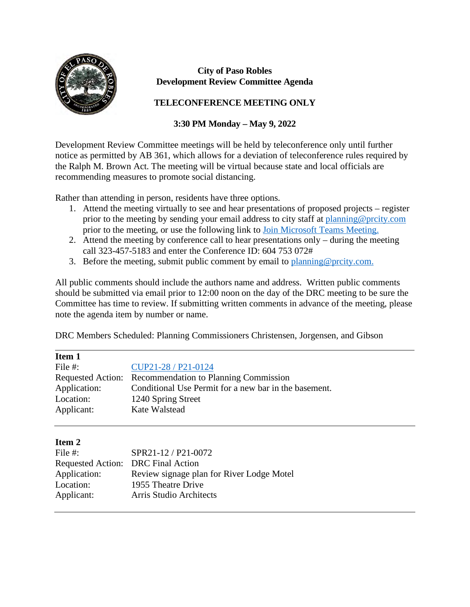

#### **City of Paso Robles Development Review Committee Agenda**

### **TELECONFERENCE MEETING ONLY**

## **3:30 PM Monday – May 9, 2022**

Development Review Committee meetings will be held by teleconference only until further notice as permitted by AB 361, which allows for a deviation of teleconference rules required by the Ralph M. Brown Act. The meeting will be virtual because state and local officials are recommending measures to promote social distancing.

Rather than attending in person, residents have three options.

- 1. Attend the meeting virtually to see and hear presentations of proposed projects register prior to the meeting by sending your email address to city staff at [planning@prcity.com](mailto:planning@prcity.com) prior to the meeting, or use the following link to [Join Microsoft Teams Meeting.](https://teams.microsoft.com/l/meetup-join/19%3ameeting_ODAwMzZlMDUtMWYxOC00YTk5LTgwZTUtYjQ2ZTM1NjFkYjJj%40thread.v2/0?context=%7b%22Tid%22%3a%221a5b5698-d524-42f2-abba-fb4615f7b1d6%22%2c%22Oid%22%3a%2266ba4e2a-3671-4e72-9d7a-eef3135a0aef%22%7d)
- 2. Attend the meeting by conference call to hear presentations only during the meeting call 323-457-5183 and enter the Conference ID: 604 753 072#
- 3. Before the meeting, submit public comment by email to planning @prcity.com.

All public comments should include the authors name and address. Written public comments should be submitted via email prior to 12:00 noon on the day of the DRC meeting to be sure the Committee has time to review. If submitting written comments in advance of the meeting, please note the agenda item by number or name.

DRC Members Scheduled: Planning Commissioners Christensen, Jorgensen, and Gibson

| Item 1       |                                                         |
|--------------|---------------------------------------------------------|
| File #:      | CUP21-28 / P21-0124                                     |
|              | Requested Action: Recommendation to Planning Commission |
| Application: | Conditional Use Permit for a new bar in the basement.   |
| Location:    | 1240 Spring Street                                      |
| Applicant:   | Kate Walstead                                           |

### **Item 2**

 $\overline{a}$ 

| File $#$ :   | SPR21-12 / P21-0072                       |
|--------------|-------------------------------------------|
|              | Requested Action: DRC Final Action        |
| Application: | Review signage plan for River Lodge Motel |
| Location:    | 1955 Theatre Drive                        |
| Applicant:   | Arris Studio Architects                   |
|              |                                           |